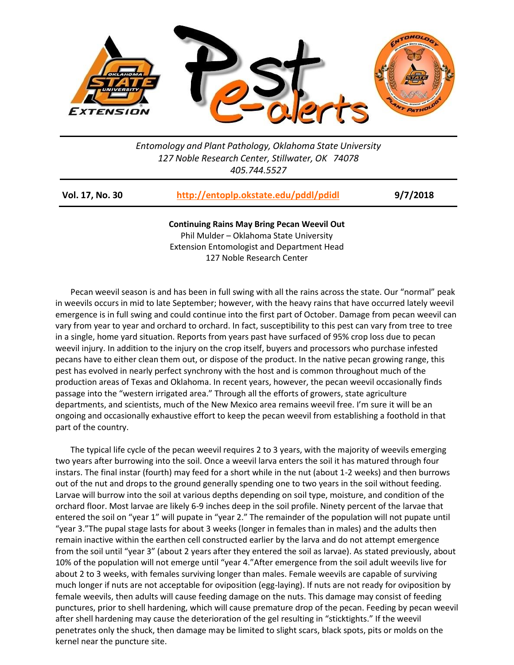

## *Entomology and Plant Pathology, Oklahoma State University 127 Noble Research Center, Stillwater, OK 74078 405.744.5527*

| Vol. 17, No. 30 | http://entoplp.okstate.edu/pddl/pdidl | 9/7/2018 |
|-----------------|---------------------------------------|----------|
|                 |                                       |          |

**Continuing Rains May Bring Pecan Weevil Out**  Phil Mulder – Oklahoma State University Extension Entomologist and Department Head 127 Noble Research Center

Pecan weevil season is and has been in full swing with all the rains across the state. Our "normal" peak in weevils occurs in mid to late September; however, with the heavy rains that have occurred lately weevil emergence is in full swing and could continue into the first part of October. Damage from pecan weevil can vary from year to year and orchard to orchard. In fact, susceptibility to this pest can vary from tree to tree in a single, home yard situation. Reports from years past have surfaced of 95% crop loss due to pecan weevil injury. In addition to the injury on the crop itself, buyers and processors who purchase infested pecans have to either clean them out, or dispose of the product. In the native pecan growing range, this pest has evolved in nearly perfect synchrony with the host and is common throughout much of the production areas of Texas and Oklahoma. In recent years, however, the pecan weevil occasionally finds passage into the "western irrigated area." Through all the efforts of growers, state agriculture departments, and scientists, much of the New Mexico area remains weevil free. I'm sure it will be an ongoing and occasionally exhaustive effort to keep the pecan weevil from establishing a foothold in that part of the country.

The typical life cycle of the pecan weevil requires 2 to 3 years, with the majority of weevils emerging two years after burrowing into the soil. Once a weevil larva enters the soil it has matured through four instars. The final instar (fourth) may feed for a short while in the nut (about 1-2 weeks) and then burrows out of the nut and drops to the ground generally spending one to two years in the soil without feeding. Larvae will burrow into the soil at various depths depending on soil type, moisture, and condition of the orchard floor. Most larvae are likely 6-9 inches deep in the soil profile. Ninety percent of the larvae that entered the soil on "year 1" will pupate in "year 2." The remainder of the population will not pupate until "year 3."The pupal stage lasts for about 3 weeks (longer in females than in males) and the adults then remain inactive within the earthen cell constructed earlier by the larva and do not attempt emergence from the soil until "year 3" (about 2 years after they entered the soil as larvae). As stated previously, about 10% of the population will not emerge until "year 4."After emergence from the soil adult weevils live for about 2 to 3 weeks, with females surviving longer than males. Female weevils are capable of surviving much longer if nuts are not acceptable for oviposition (egg-laying). If nuts are not ready for oviposition by female weevils, then adults will cause feeding damage on the nuts. This damage may consist of feeding punctures, prior to shell hardening, which will cause premature drop of the pecan. Feeding by pecan weevil after shell hardening may cause the deterioration of the gel resulting in "sticktights." If the weevil penetrates only the shuck, then damage may be limited to slight scars, black spots, pits or molds on the kernel near the puncture site.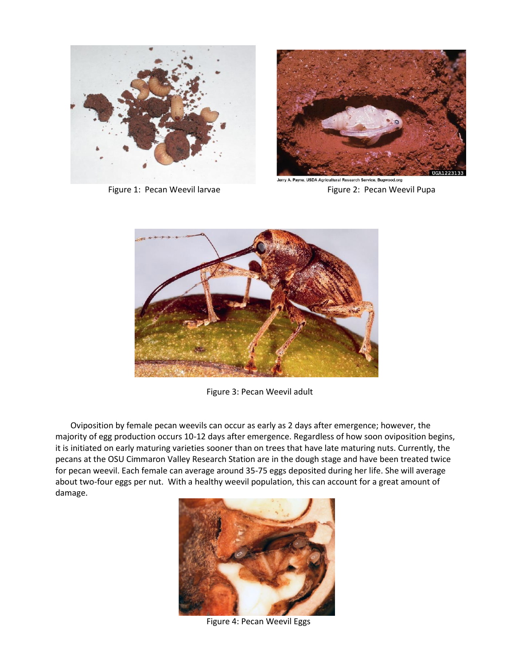



Jerry A. Payne, USDA Agricultural Research Service, Bugwood.org Figure 1: Pecan Weevil larvae **Figure 2: Pecan Weevil Pupa** 



Figure 3: Pecan Weevil adult

Oviposition by female pecan weevils can occur as early as 2 days after emergence; however, the majority of egg production occurs 10-12 days after emergence. Regardless of how soon oviposition begins, it is initiated on early maturing varieties sooner than on trees that have late maturing nuts. Currently, the pecans at the OSU Cimmaron Valley Research Station are in the dough stage and have been treated twice for pecan weevil. Each female can average around 35-75 eggs deposited during her life. She will average about two-four eggs per nut. With a healthy weevil population, this can account for a great amount of damage.



Figure 4: Pecan Weevil Eggs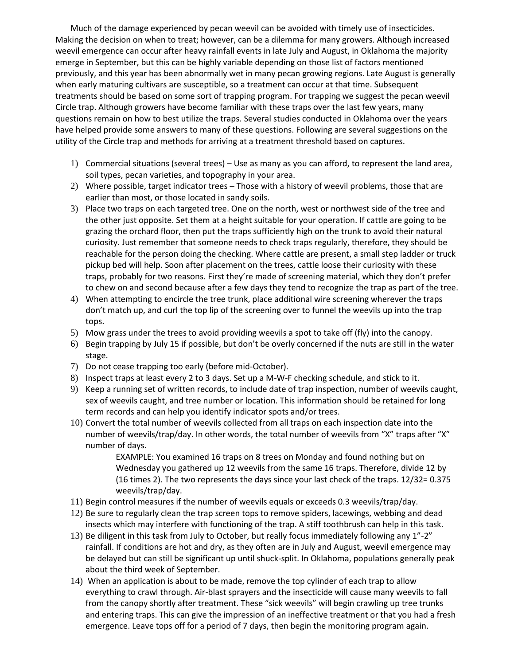Much of the damage experienced by pecan weevil can be avoided with timely use of insecticides. Making the decision on when to treat; however, can be a dilemma for many growers. Although increased weevil emergence can occur after heavy rainfall events in late July and August, in Oklahoma the majority emerge in September, but this can be highly variable depending on those list of factors mentioned previously, and this year has been abnormally wet in many pecan growing regions. Late August is generally when early maturing cultivars are susceptible, so a treatment can occur at that time. Subsequent treatments should be based on some sort of trapping program. For trapping we suggest the pecan weevil Circle trap. Although growers have become familiar with these traps over the last few years, many questions remain on how to best utilize the traps. Several studies conducted in Oklahoma over the years have helped provide some answers to many of these questions. Following are several suggestions on the utility of the Circle trap and methods for arriving at a treatment threshold based on captures.

- 1) Commercial situations (several trees) Use as many as you can afford, to represent the land area, soil types, pecan varieties, and topography in your area.
- 2) Where possible, target indicator trees Those with a history of weevil problems, those that are earlier than most, or those located in sandy soils.
- 3) Place two traps on each targeted tree. One on the north, west or northwest side of the tree and the other just opposite. Set them at a height suitable for your operation. If cattle are going to be grazing the orchard floor, then put the traps sufficiently high on the trunk to avoid their natural curiosity. Just remember that someone needs to check traps regularly, therefore, they should be reachable for the person doing the checking. Where cattle are present, a small step ladder or truck pickup bed will help. Soon after placement on the trees, cattle loose their curiosity with these traps, probably for two reasons. First they're made of screening material, which they don't prefer to chew on and second because after a few days they tend to recognize the trap as part of the tree.
- 4) When attempting to encircle the tree trunk, place additional wire screening wherever the traps don't match up, and curl the top lip of the screening over to funnel the weevils up into the trap tops.
- 5) Mow grass under the trees to avoid providing weevils a spot to take off (fly) into the canopy.
- 6) Begin trapping by July 15 if possible, but don't be overly concerned if the nuts are still in the water stage.
- 7) Do not cease trapping too early (before mid-October).
- 8) Inspect traps at least every 2 to 3 days. Set up a M-W-F checking schedule, and stick to it.
- 9) Keep a running set of written records, to include date of trap inspection, number of weevils caught, sex of weevils caught, and tree number or location. This information should be retained for long term records and can help you identify indicator spots and/or trees.
- 10) Convert the total number of weevils collected from all traps on each inspection date into the number of weevils/trap/day. In other words, the total number of weevils from "X" traps after "X" number of days.

EXAMPLE: You examined 16 traps on 8 trees on Monday and found nothing but on Wednesday you gathered up 12 weevils from the same 16 traps. Therefore, divide 12 by (16 times 2). The two represents the days since your last check of the traps. 12/32= 0.375 weevils/trap/day.

- 11) Begin control measures if the number of weevils equals or exceeds 0.3 weevils/trap/day.
- 12) Be sure to regularly clean the trap screen tops to remove spiders, lacewings, webbing and dead insects which may interfere with functioning of the trap. A stiff toothbrush can help in this task.
- 13) Be diligent in this task from July to October, but really focus immediately following any 1"-2" rainfall. If conditions are hot and dry, as they often are in July and August, weevil emergence may be delayed but can still be significant up until shuck-split. In Oklahoma, populations generally peak about the third week of September.
- 14) When an application is about to be made, remove the top cylinder of each trap to allow everything to crawl through. Air-blast sprayers and the insecticide will cause many weevils to fall from the canopy shortly after treatment. These "sick weevils" will begin crawling up tree trunks and entering traps. This can give the impression of an ineffective treatment or that you had a fresh emergence. Leave tops off for a period of 7 days, then begin the monitoring program again.